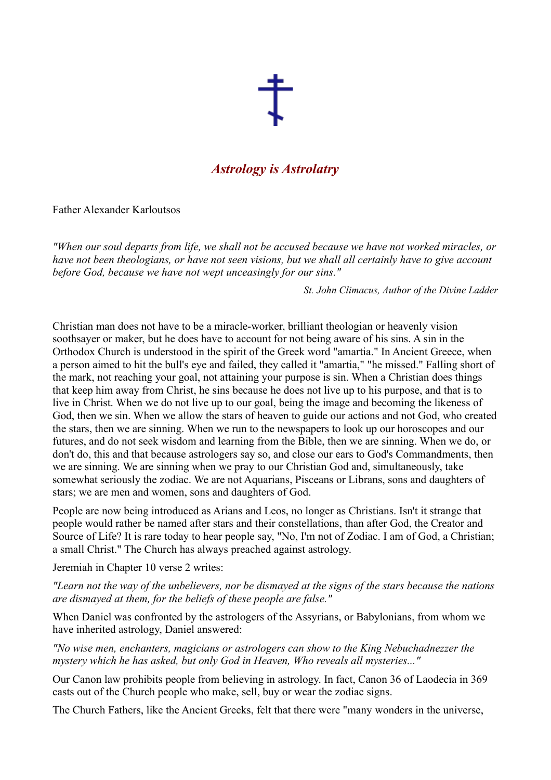

## *Astrology is Astrolatry*

Father Alexander Karloutsos

*"When our soul departs from life, we shall not be accused because we have not worked miracles, or have not been theologians, or have not seen visions, but we shall all certainly have to give account before God, because we have not wept unceasingly for our sins."*

*St. John Climacus, Author of the Divine Ladder*

Christian man does not have to be a miracle-worker, brilliant theologian or heavenly vision soothsayer or maker, but he does have to account for not being aware of his sins. A sin in the Orthodox Church is understood in the spirit of the Greek word "amartia." In Ancient Greece, when a person aimed to hit the bull's eye and failed, they called it "amartia," "he missed." Falling short of the mark, not reaching your goal, not attaining your purpose is sin. When a Christian does things that keep him away from Christ, he sins because he does not live up to his purpose, and that is to live in Christ. When we do not live up to our goal, being the image and becoming the likeness of God, then we sin. When we allow the stars of heaven to guide our actions and not God, who created the stars, then we are sinning. When we run to the newspapers to look up our horoscopes and our futures, and do not seek wisdom and learning from the Bible, then we are sinning. When we do, or don't do, this and that because astrologers say so, and close our ears to God's Commandments, then we are sinning. We are sinning when we pray to our Christian God and, simultaneously, take somewhat seriously the zodiac. We are not Aquarians, Pisceans or Librans, sons and daughters of stars; we are men and women, sons and daughters of God.

People are now being introduced as Arians and Leos, no longer as Christians. Isn't it strange that people would rather be named after stars and their constellations, than after God, the Creator and Source of Life? It is rare today to hear people say, "No, I'm not of Zodiac. I am of God, a Christian; a small Christ." The Church has always preached against astrology.

Jeremiah in Chapter 10 verse 2 writes:

*"Learn not the way of the unbelievers, nor be dismayed at the signs of the stars because the nations are dismayed at them, for the beliefs of these people are false."*

When Daniel was confronted by the astrologers of the Assyrians, or Babylonians, from whom we have inherited astrology, Daniel answered:

*"No wise men, enchanters, magicians or astrologers can show to the King Nebuchadnezzer the mystery which he has asked, but only God in Heaven, Who reveals all mysteries..."*

Our Canon law prohibits people from believing in astrology. In fact, Canon 36 of Laodecia in 369 casts out of the Church people who make, sell, buy or wear the zodiac signs.

The Church Fathers, like the Ancient Greeks, felt that there were "many wonders in the universe,